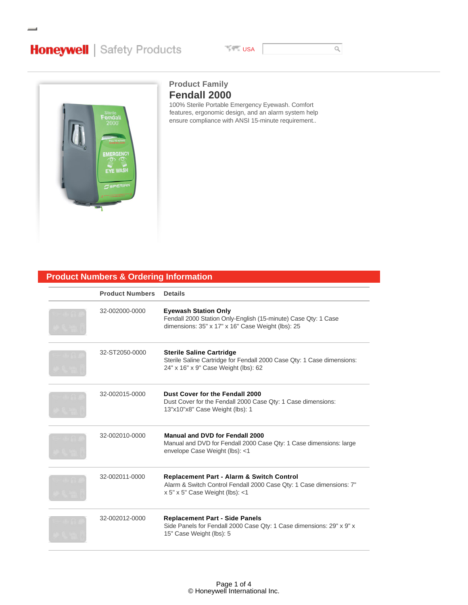# **Honeywell** | Safety Products

**USA** 

 $\hbox{\large\it Q}$ 



# **Fendall 2000 Product Family**

100% Sterile Portable Emergency Eyewash. Comfort features, ergonomic design, and an alarm system help ensure compliance with ANSI 15-minute requirement..

# **Product Numbers & Ordering Information**

| <b>Product Numbers</b> | <b>Details</b>                                                                                                                                                 |
|------------------------|----------------------------------------------------------------------------------------------------------------------------------------------------------------|
| 32-002000-0000         | <b>Eyewash Station Only</b><br>Fendall 2000 Station Only-English (15-minute) Case Qty: 1 Case<br>dimensions: 35" x 17" x 16" Case Weight (lbs): 25             |
| 32-ST2050-0000         | <b>Sterile Saline Cartridge</b><br>Sterile Saline Cartridge for Fendall 2000 Case Qty: 1 Case dimensions:<br>24" x 16" x 9" Case Weight (lbs): 62              |
| 32-002015-0000         | Dust Cover for the Fendall 2000<br>Dust Cover for the Fendall 2000 Case Qty: 1 Case dimensions:<br>13"x10"x8" Case Weight (lbs): 1                             |
| 32-002010-0000         | Manual and DVD for Fendall 2000<br>Manual and DVD for Fendall 2000 Case Qty: 1 Case dimensions: large<br>envelope Case Weight (lbs): <1                        |
| 32-002011-0000         | <b>Replacement Part - Alarm &amp; Switch Control</b><br>Alarm & Switch Control Fendall 2000 Case Qty: 1 Case dimensions: 7"<br>x 5" x 5" Case Weight (lbs): <1 |
| 32-002012-0000         | <b>Replacement Part - Side Panels</b><br>Side Panels for Fendall 2000 Case Qty: 1 Case dimensions: 29" x 9" x<br>15" Case Weight (lbs): 5                      |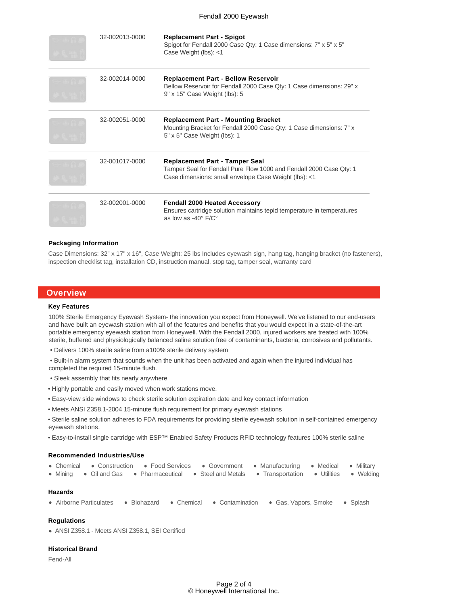### Fendall 2000 Eyewash

| 32-002013-0000 | <b>Replacement Part - Spigot</b><br>Spigot for Fendall 2000 Case Qty: 1 Case dimensions: 7" x 5" x 5"<br>Case Weight (lbs): <1                                        |
|----------------|-----------------------------------------------------------------------------------------------------------------------------------------------------------------------|
| 32-002014-0000 | <b>Replacement Part - Bellow Reservoir</b><br>Bellow Reservoir for Fendall 2000 Case Qty: 1 Case dimensions: 29" x<br>9" x 15" Case Weight (lbs): 5                   |
| 32-002051-0000 | <b>Replacement Part - Mounting Bracket</b><br>Mounting Bracket for Fendall 2000 Case Qty: 1 Case dimensions: 7" x<br>5" x 5" Case Weight (lbs): 1                     |
| 32-001017-0000 | <b>Replacement Part - Tamper Seal</b><br>Tamper Seal for Fendall Pure Flow 1000 and Fendall 2000 Case Qty: 1<br>Case dimensions: small envelope Case Weight (lbs): <1 |
| 32-002001-0000 | <b>Fendall 2000 Heated Accessory</b><br>Ensures cartridge solution maintains tepid temperature in temperatures<br>as low as $-40^\circ$ F/C°                          |

#### **Packaging Information**

Case Dimensions: 32" x 17" x 16", Case Weight: 25 lbs Includes eyewash sign, hang tag, hanging bracket (no fasteners), inspection checklist tag, installation CD, instruction manual, stop tag, tamper seal, warranty card

# **Overview**

#### **Key Features**

100% Sterile Emergency Eyewash System- the innovation you expect from Honeywell. We've listened to our end-users and have built an eyewash station with all of the features and benefits that you would expect in a state-of-the-art portable emergency eyewash station from Honeywell. With the Fendall 2000, injured workers are treated with 100% sterile, buffered and physiologically balanced saline solution free of contaminants, bacteria, corrosives and pollutants.

• Delivers 100% sterile saline from a100% sterile delivery system

 • Built-in alarm system that sounds when the unit has been activated and again when the injured individual has completed the required 15-minute flush.

- Sleek assembly that fits nearly anywhere
- Highly portable and easily moved when work stations move.
- Easy-view side windows to check sterile solution expiration date and key contact information
- Meets ANSI Z358.1-2004 15-minute flush requirement for primary eyewash stations
- Sterile saline solution adheres to FDA requirements for providing sterile eyewash solution in self-contained emergency eyewash stations.
- Easy-to-install single cartridge with ESP™ Enabled Safety Products RFID technology features 100% sterile saline

#### **Recommended Industries/Use**

|  |  | • Chemical • Construction • Food Services • Government • Manufacturing • Medical • Military       |  |  |  |  |
|--|--|---------------------------------------------------------------------------------------------------|--|--|--|--|
|  |  | • Mining • Oil and Gas • Pharmaceutical • Steel and Metals • Transportation • Utilities • Welding |  |  |  |  |

# **Hazards**

• Airborne Particulates • Biohazard • Chemical • Contamination • Gas, Vapors, Smoke • Splash

# **Regulations**

ANSI Z358.1 - Meets ANSI Z358.1, SEI Certified

#### **Historical Brand**

Fend-All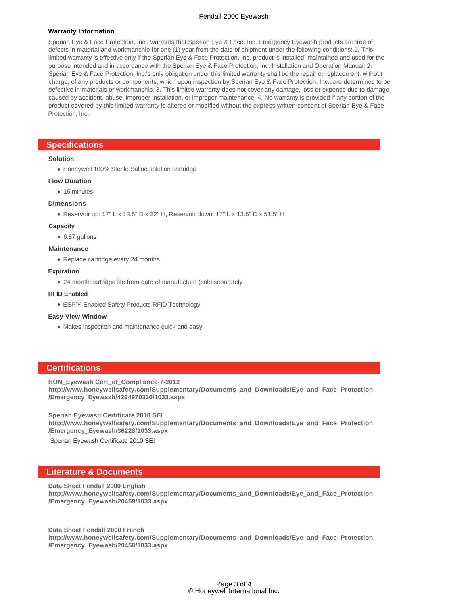# Fendall 2000 Eyewash

#### **Warranty Information**

Sperian Eye & Face Protection, Inc., warrants that Sperian Eye & Face, Inc. Emergency Eyewash products are free of defects in material and workmanship for one (1) year from the date of shipment under the following conditions: 1. This limited warranty is effective only if the Sperian Eye & Face Protection, Inc. product is installed, maintained and used for the purpose intended and in accordance with the Sperian Eye & Face Protection, Inc. Installation and Operation Manual. 2. Sperian Eye & Face Protection, Inc.'s only obligation under this limited warranty shall be the repair or replacement, without charge, of any products or components, which upon inspection by Sperian Eye & Face Protection, Inc., are determined to be defective in materials or workmanship. 3. This limited warranty does not cover any damage, loss or expense due to damage caused by accident, abuse, improper installation, or improper maintenance. 4. No warranty is provided if any portion of the product covered by this limited warranty is altered or modified without the express written consent of Sperian Eye & Face Protection, Inc.

# **Specifications**

#### **Solution**

Honeywell 100% Sterile Saline solution cartridge

#### **Flow Duration**

• 15 minutes

#### **Dimensions**

Reservoir up: 17" L x 13.5" D x 32" H, Reservoir down: 17" L x 13.5" D x 51.5" H

#### **Capacity**

6.87 gallons

# **Maintenance**

• Replace cartridge every 24 months

#### **Expiration**

24 month cartridge life from date of manufacture (sold separately

#### **RFID Enabled**

● ESP<sup>TM</sup> Enabled Safety Products RFID Technology

#### **Easy View Window**

Makes inspection and maintenance quick and easy.

# **Certifications**

**HON\_Eyewash Cert\_of\_Compliance-7-2012**

**http://www.honeywellsafety.com/Supplementary/Documents\_and\_Downloads/Eye\_and\_Face\_Protection /Emergency\_Eyewash/4294970336/1033.aspx**

**Sperian Eyewash Certificate 2010 SEI http://www.honeywellsafety.com/Supplementary/Documents\_and\_Downloads/Eye\_and\_Face\_Protection /Emergency\_Eyewash/36228/1033.aspx**

Sperian Eyewash Certificate 2010 SEI

# **Literature & Documents**

**Data Sheet Fendall 2000 English**

**http://www.honeywellsafety.com/Supplementary/Documents\_and\_Downloads/Eye\_and\_Face\_Protection /Emergency\_Eyewash/20459/1033.aspx**

**Data Sheet Fendall 2000 French http://www.honeywellsafety.com/Supplementary/Documents\_and\_Downloads/Eye\_and\_Face\_Protection /Emergency\_Eyewash/20458/1033.aspx**